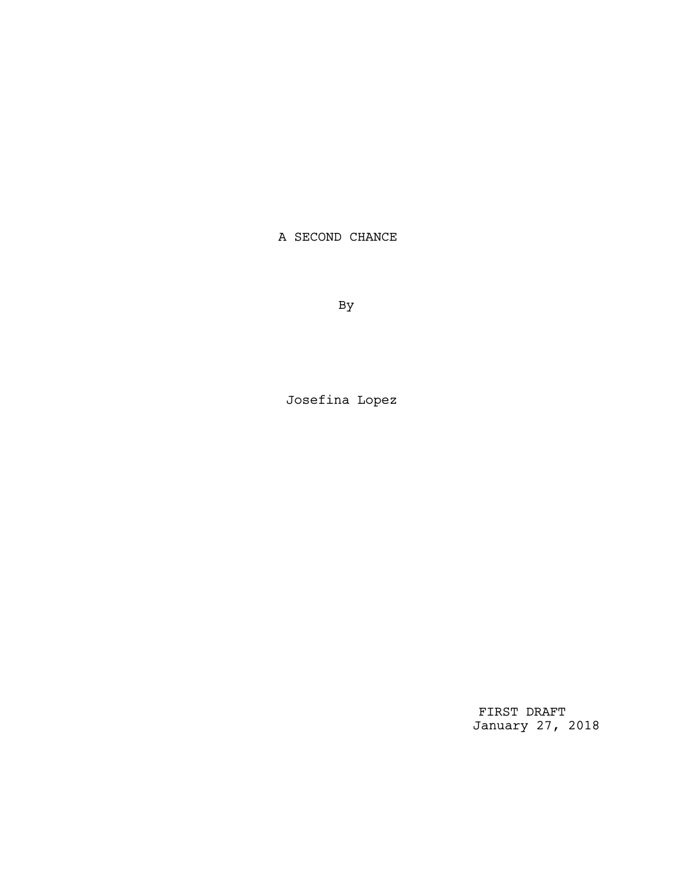A SECOND CHANCE

By

Josefina Lopez

FIRST DRAFT January 27, 2018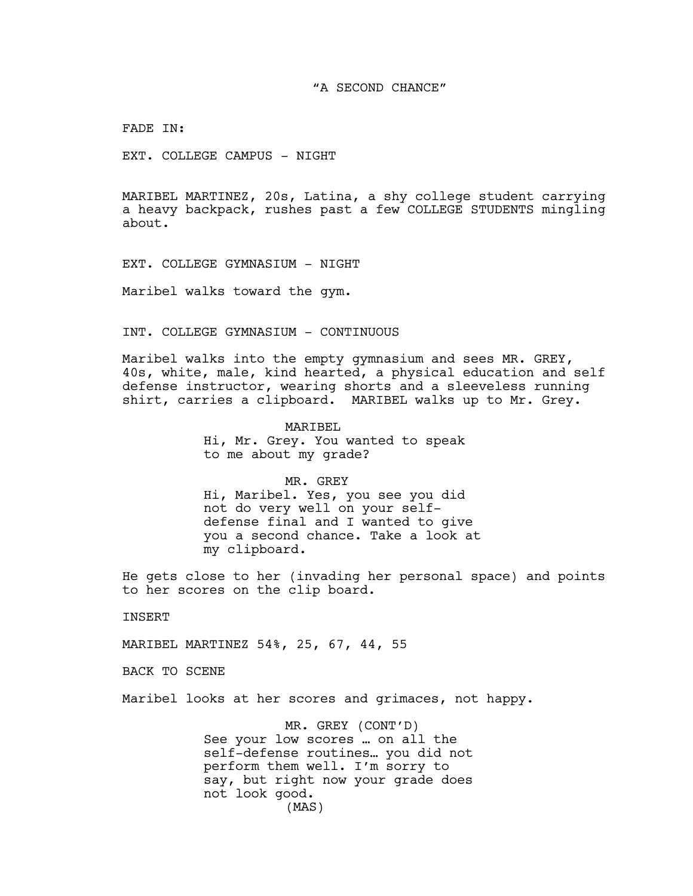FADE IN:

EXT. COLLEGE CAMPUS - NIGHT

MARIBEL MARTINEZ, 20s, Latina, a shy college student carrying a heavy backpack, rushes past a few COLLEGE STUDENTS mingling about.

EXT. COLLEGE GYMNASIUM - NIGHT

Maribel walks toward the gym.

INT. COLLEGE GYMNASIUM - CONTINUOUS

Maribel walks into the empty gymnasium and sees MR. GREY, 40s, white, male, kind hearted, a physical education and self defense instructor, wearing shorts and a sleeveless running shirt, carries a clipboard. MARIBEL walks up to Mr. Grey.

> MARIBEL Hi, Mr. Grey. You wanted to speak to me about my grade?

MR. GREY Hi, Maribel. Yes, you see you did not do very well on your selfdefense final and I wanted to give you a second chance. Take a look at my clipboard.

He gets close to her (invading her personal space) and points to her scores on the clip board.

INSERT

MARIBEL MARTINEZ 54%, 25, 67, 44, 55

BACK TO SCENE

Maribel looks at her scores and grimaces, not happy.

MR. GREY (CONT'D) See your low scores … on all the self-defense routines… you did not perform them well. I'm sorry to say, but right now your grade does not look good. (MAS)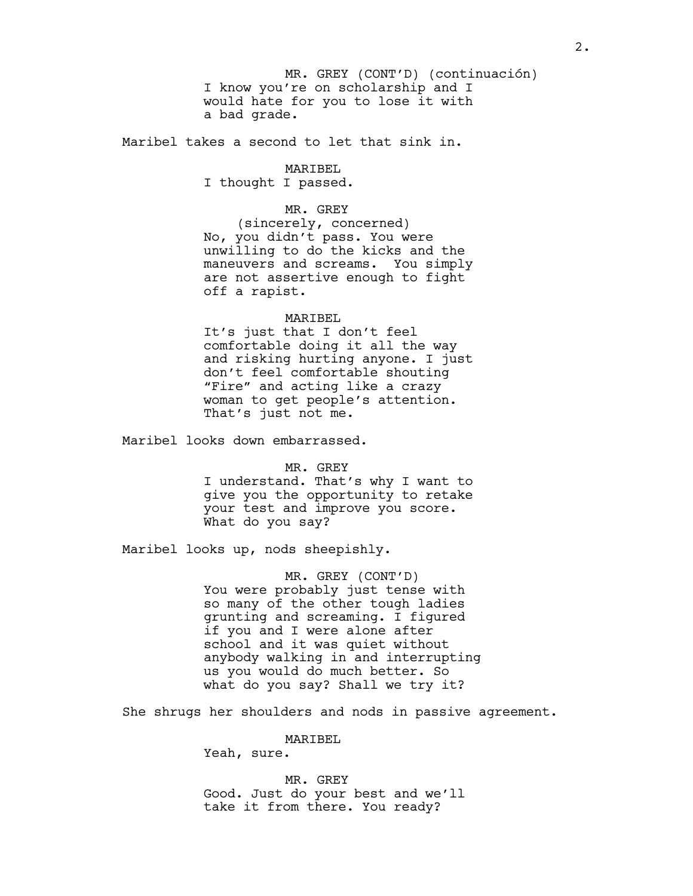I know you're on scholarship and I would hate for you to lose it with a bad grade. MR. GREY (CONT'D) (continuación)

Maribel takes a second to let that sink in.

## MARIBEL I thought I passed.

## MR. GREY

(sincerely, concerned) No, you didn't pass. You were unwilling to do the kicks and the maneuvers and screams. You simply are not assertive enough to fight off a rapist.

## MARIBEL

It's just that I don't feel comfortable doing it all the way and risking hurting anyone. I just don't feel comfortable shouting "Fire" and acting like a crazy woman to get people's attention. That's just not me.

Maribel looks down embarrassed.

## MR. GREY

I understand. That's why I want to give you the opportunity to retake your test and improve you score. What do you say?

Maribel looks up, nods sheepishly.

MR. GREY (CONT'D) You were probably just tense with so many of the other tough ladies grunting and screaming. I figured if you and I were alone after school and it was quiet without anybody walking in and interrupting us you would do much better. So what do you say? Shall we try it?

She shrugs her shoulders and nods in passive agreement.

MARIBEL

Yeah, sure.

MR. GREY Good. Just do your best and we'll take it from there. You ready?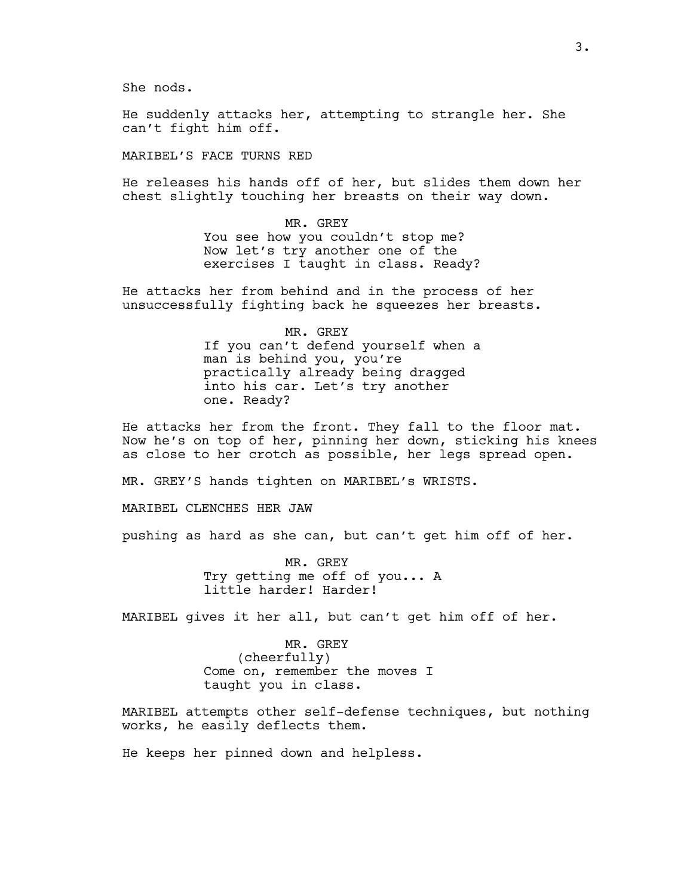She nods.

He suddenly attacks her, attempting to strangle her. She can't fight him off.

MARIBEL'S FACE TURNS RED

He releases his hands off of her, but slides them down her chest slightly touching her breasts on their way down.

> MR. GREY You see how you couldn't stop me? Now let's try another one of the exercises I taught in class. Ready?

He attacks her from behind and in the process of her unsuccessfully fighting back he squeezes her breasts.

> MR. GREY If you can't defend yourself when a man is behind you, you're practically already being dragged into his car. Let's try another one. Ready?

He attacks her from the front. They fall to the floor mat. Now he's on top of her, pinning her down, sticking his knees as close to her crotch as possible, her legs spread open.

MR. GREY'S hands tighten on MARIBEL's WRISTS.

MARIBEL CLENCHES HER JAW

pushing as hard as she can, but can't get him off of her.

MR. GREY Try getting me off of you... A little harder! Harder!

MARIBEL gives it her all, but can't get him off of her.

MR. GREY (cheerfully) Come on, remember the moves I taught you in class.

MARIBEL attempts other self-defense techniques, but nothing works, he easily deflects them.

He keeps her pinned down and helpless.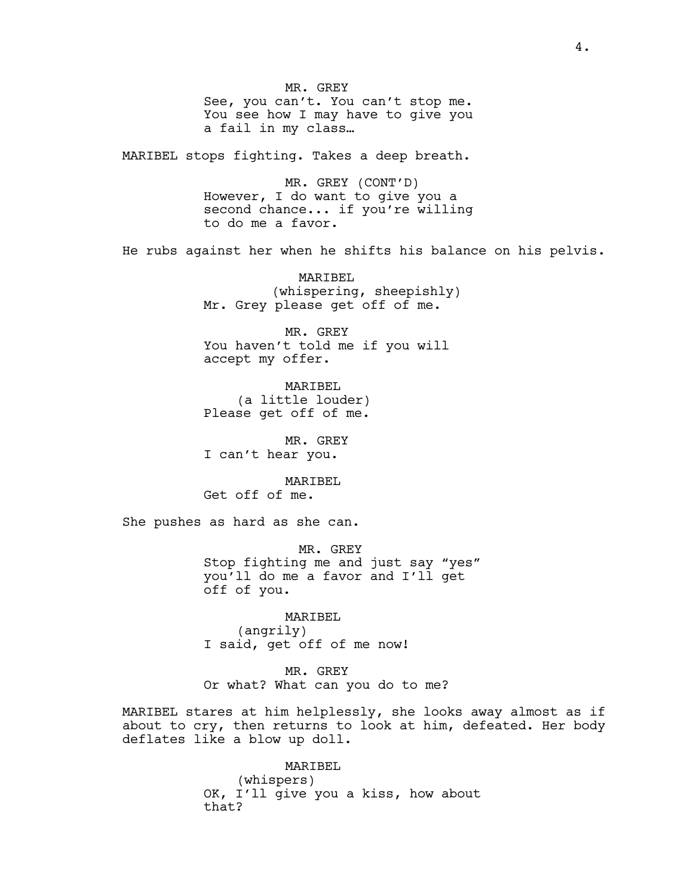MR. GREY See, you can't. You can't stop me. You see how I may have to give you a fail in my class…

MARIBEL stops fighting. Takes a deep breath.

MR. GREY (CONT'D) However, I do want to give you a second chance... if you're willing to do me a favor.

He rubs against her when he shifts his balance on his pelvis.

MARIBEL (whispering, sheepishly) Mr. Grey please get off of me.

MR. GREY You haven't told me if you will accept my offer.

MARIBEL (a little louder) Please get off of me.

MR. GREY I can't hear you.

MARTBEL Get off of me.

She pushes as hard as she can.

MR. GREY Stop fighting me and just say "yes" you'll do me a favor and I'll get off of you.

MARIBEL (angrily) I said, get off of me now!

MR. GREY Or what? What can you do to me?

MARIBEL stares at him helplessly, she looks away almost as if about to cry, then returns to look at him, defeated. Her body deflates like a blow up doll.

> MARIBEL (whispers) OK, I'll give you a kiss, how about that?